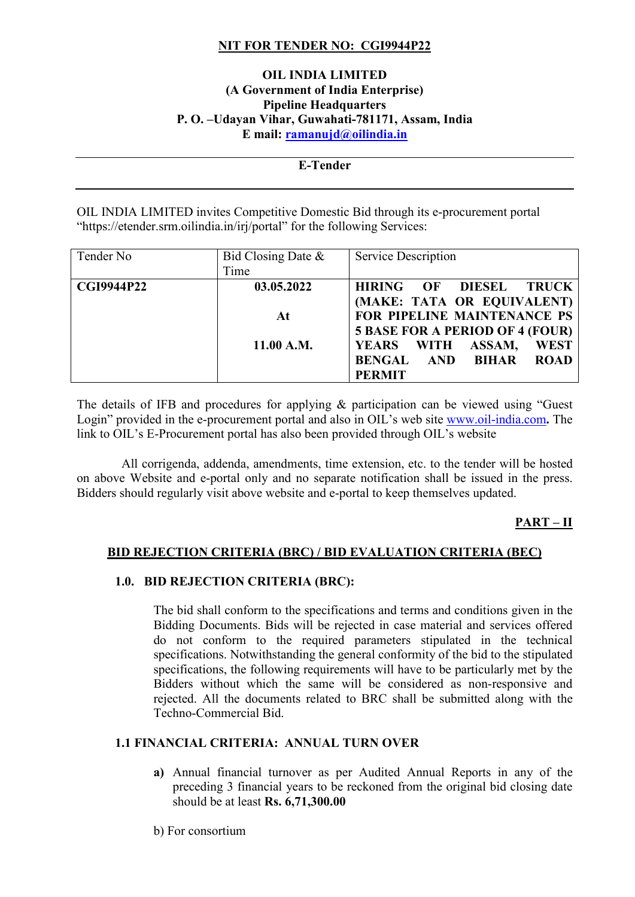## **NIT FOR TENDER NO: CGI9944P22**

### **OIL INDIA LIMITED (A Government of India Enterprise) Pipeline Headquarters P. O. –Udayan Vihar, Guwahati-781171, Assam, India E mail: [ramanujd@oilindia.in](mailto:ramanujd@oilindia.in)**

#### **E-Tender**

OIL INDIA LIMITED invites Competitive Domestic Bid through its e-procurement portal "https://etender.srm.oilindia.in/irj/portal" for the following Services:

| Tender No         | Bid Closing Date $\&$ | Service Description                                        |
|-------------------|-----------------------|------------------------------------------------------------|
|                   | Time                  |                                                            |
| <b>CGI9944P22</b> | 03.05.2022            | <b>HIRING</b><br>DIESEL<br>OF<br><b>TRUCK</b>              |
|                   |                       | (MAKE: TATA OR EQUIVALENT)                                 |
|                   | At                    | FOR PIPELINE MAINTENANCE PS                                |
|                   |                       | <b>5 BASE FOR A PERIOD OF 4 (FOUR)</b>                     |
|                   | 11.00 A.M.            | <b>WEST</b><br><b>WITH</b><br>ASSAM,<br><b>YEARS</b>       |
|                   |                       | <b>ROAD</b><br><b>BIHAR</b><br><b>BENGAL</b><br><b>AND</b> |
|                   |                       | <b>PERMIT</b>                                              |

The details of IFB and procedures for applying & participation can be viewed using "Guest Login" provided in the e-procurement portal and also in OIL's web site [www.oil-india.com](http://www.oil-india.com/)**.** The link to OIL's E-Procurement portal has also been provided through OIL's website

 All corrigenda, addenda, amendments, time extension, etc. to the tender will be hosted on above Website and e-portal only and no separate notification shall be issued in the press. Bidders should regularly visit above website and e-portal to keep themselves updated.

### **PART – II**

### **BID REJECTION CRITERIA (BRC) / BID EVALUATION CRITERIA (BEC)**

### **1.0. BID REJECTION CRITERIA (BRC):**

The bid shall conform to the specifications and terms and conditions given in the Bidding Documents. Bids will be rejected in case material and services offered do not conform to the required parameters stipulated in the technical specifications. Notwithstanding the general conformity of the bid to the stipulated specifications, the following requirements will have to be particularly met by the Bidders without which the same will be considered as non-responsive and rejected. All the documents related to BRC shall be submitted along with the Techno-Commercial Bid.

### **1.1 FINANCIAL CRITERIA: ANNUAL TURN OVER**

- **a)** Annual financial turnover as per Audited Annual Reports in any of the preceding 3 financial years to be reckoned from the original bid closing date should be at least **Rs. 6,71,300.00**
- b) For consortium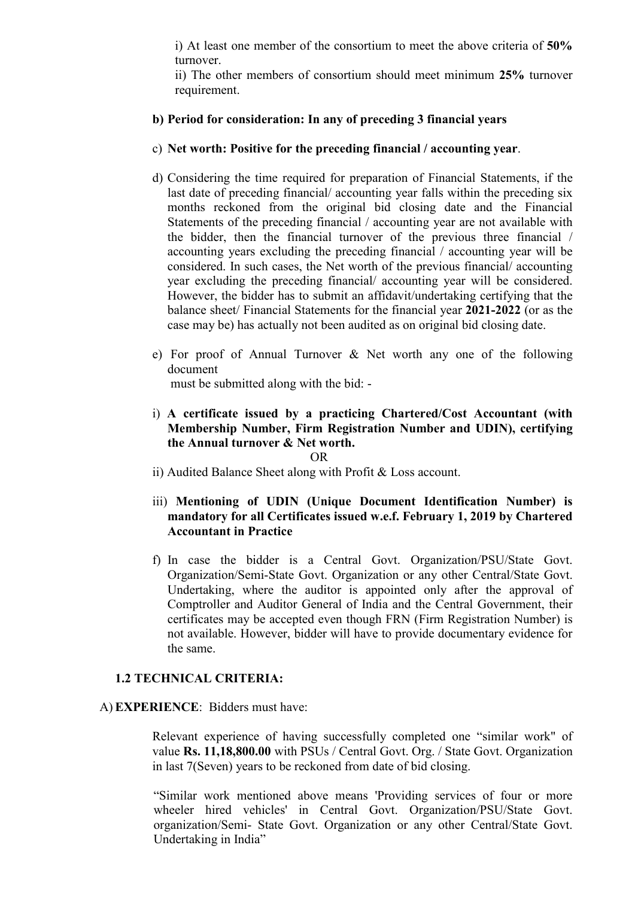i) At least one member of the consortium to meet the above criteria of **50%** turnover.

ii) The other members of consortium should meet minimum **25%** turnover requirement.

### **b) Period for consideration: In any of preceding 3 financial years**

- c) **Net worth: Positive for the preceding financial / accounting year**.
- d) Considering the time required for preparation of Financial Statements, if the last date of preceding financial/ accounting year falls within the preceding six months reckoned from the original bid closing date and the Financial Statements of the preceding financial / accounting year are not available with the bidder, then the financial turnover of the previous three financial / accounting years excluding the preceding financial / accounting year will be considered. In such cases, the Net worth of the previous financial/ accounting year excluding the preceding financial/ accounting year will be considered. However, the bidder has to submit an affidavit/undertaking certifying that the balance sheet/ Financial Statements for the financial year **2021-2022** (or as the case may be) has actually not been audited as on original bid closing date.
- e) For proof of Annual Turnover & Net worth any one of the following document

must be submitted along with the bid: -

i) **A certificate issued by a practicing Chartered/Cost Accountant (with Membership Number, Firm Registration Number and UDIN), certifying the Annual turnover & Net worth.** 

OR

- ii) Audited Balance Sheet along with Profit & Loss account.
- iii) **Mentioning of UDIN (Unique Document Identification Number) is mandatory for all Certificates issued w.e.f. February 1, 2019 by Chartered Accountant in Practice**
- f) In case the bidder is a Central Govt. Organization/PSU/State Govt. Organization/Semi-State Govt. Organization or any other Central/State Govt. Undertaking, where the auditor is appointed only after the approval of Comptroller and Auditor General of India and the Central Government, their certificates may be accepted even though FRN (Firm Registration Number) is not available. However, bidder will have to provide documentary evidence for the same.

#### **1.2 TECHNICAL CRITERIA:**

### A) **EXPERIENCE**: Bidders must have:

Relevant experience of having successfully completed one "similar work" of value **Rs. 11,18,800.00** with PSUs / Central Govt. Org. / State Govt. Organization in last 7(Seven) years to be reckoned from date of bid closing.

"Similar work mentioned above means 'Providing services of four or more wheeler hired vehicles' in Central Govt. Organization/PSU/State Govt. organization/Semi- State Govt. Organization or any other Central/State Govt. Undertaking in India"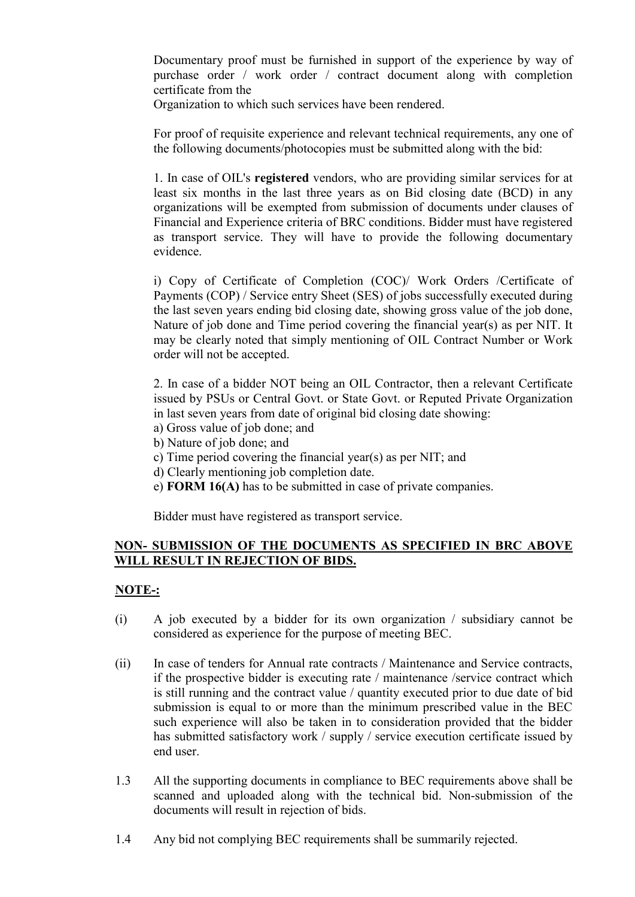Documentary proof must be furnished in support of the experience by way of purchase order / work order / contract document along with completion certificate from the

Organization to which such services have been rendered.

For proof of requisite experience and relevant technical requirements, any one of the following documents/photocopies must be submitted along with the bid:

1. In case of OIL's **registered** vendors, who are providing similar services for at least six months in the last three years as on Bid closing date (BCD) in any organizations will be exempted from submission of documents under clauses of Financial and Experience criteria of BRC conditions. Bidder must have registered as transport service. They will have to provide the following documentary evidence.

i) Copy of Certificate of Completion (COC)/ Work Orders /Certificate of Payments (COP) / Service entry Sheet (SES) of jobs successfully executed during the last seven years ending bid closing date, showing gross value of the job done, Nature of job done and Time period covering the financial year(s) as per NIT. It may be clearly noted that simply mentioning of OIL Contract Number or Work order will not be accepted.

2. In case of a bidder NOT being an OIL Contractor, then a relevant Certificate issued by PSUs or Central Govt. or State Govt. or Reputed Private Organization in last seven years from date of original bid closing date showing:

- a) Gross value of job done; and
- b) Nature of job done; and
- c) Time period covering the financial year(s) as per NIT; and
- d) Clearly mentioning job completion date.
- e) **FORM 16(A)** has to be submitted in case of private companies.

Bidder must have registered as transport service.

## **NON- SUBMISSION OF THE DOCUMENTS AS SPECIFIED IN BRC ABOVE WILL RESULT IN REJECTION OF BIDS.**

# **NOTE-:**

- (i) A job executed by a bidder for its own organization / subsidiary cannot be considered as experience for the purpose of meeting BEC.
- (ii) In case of tenders for Annual rate contracts / Maintenance and Service contracts, if the prospective bidder is executing rate / maintenance /service contract which is still running and the contract value / quantity executed prior to due date of bid submission is equal to or more than the minimum prescribed value in the BEC such experience will also be taken in to consideration provided that the bidder has submitted satisfactory work / supply / service execution certificate issued by end user.
- 1.3 All the supporting documents in compliance to BEC requirements above shall be scanned and uploaded along with the technical bid. Non-submission of the documents will result in rejection of bids.
- 1.4 Any bid not complying BEC requirements shall be summarily rejected.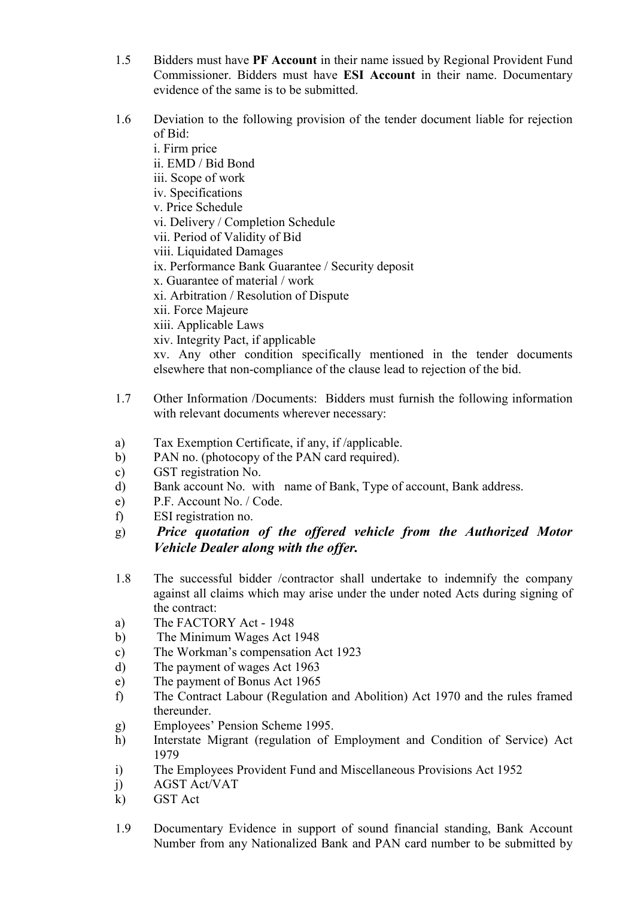- 1.5 Bidders must have **PF Account** in their name issued by Regional Provident Fund Commissioner. Bidders must have **ESI Account** in their name. Documentary evidence of the same is to be submitted.
- 1.6 Deviation to the following provision of the tender document liable for rejection of Bid:

i. Firm price ii. EMD / Bid Bond iii. Scope of work iv. Specifications v. Price Schedule vi. Delivery / Completion Schedule vii. Period of Validity of Bid viii. Liquidated Damages ix. Performance Bank Guarantee / Security deposit x. Guarantee of material / work xi. Arbitration / Resolution of Dispute xii. Force Majeure xiii. Applicable Laws xiv. Integrity Pact, if applicable xv. Any other condition specifically mentioned in the tender documents elsewhere that non-compliance of the clause lead to rejection of the bid.

- 1.7 Other Information /Documents: Bidders must furnish the following information with relevant documents wherever necessary:
- a) Tax Exemption Certificate, if any, if /applicable.
- b) PAN no. (photocopy of the PAN card required).
- c) GST registration No.
- d) Bank account No. with name of Bank, Type of account, Bank address.
- e) P.F. Account No. / Code.
- f) ESI registration no.
- g) *Price quotation of the offered vehicle from the Authorized Motor Vehicle Dealer along with the offer.*
- 1.8 The successful bidder /contractor shall undertake to indemnify the company against all claims which may arise under the under noted Acts during signing of the contract:
- a) The FACTORY Act 1948
- b) The Minimum Wages Act 1948
- c) The Workman's compensation Act 1923
- d) The payment of wages Act 1963
- e) The payment of Bonus Act 1965
- f) The Contract Labour (Regulation and Abolition) Act 1970 and the rules framed thereunder.
- g) Employees' Pension Scheme 1995.
- h) Interstate Migrant (regulation of Employment and Condition of Service) Act 1979
- i) The Employees Provident Fund and Miscellaneous Provisions Act 1952
- j) AGST Act/VAT
- k) GST Act
- 1.9 Documentary Evidence in support of sound financial standing, Bank Account Number from any Nationalized Bank and PAN card number to be submitted by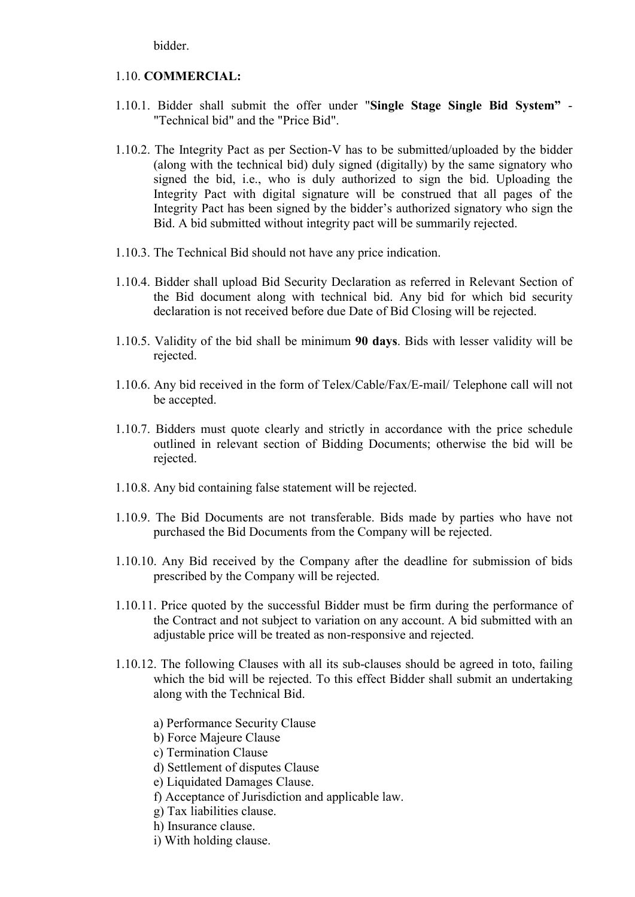bidder.

### 1.10. **COMMERCIAL:**

- 1.10.1. Bidder shall submit the offer under "**Single Stage Single Bid System"** "Technical bid" and the "Price Bid".
- 1.10.2. The Integrity Pact as per Section-V has to be submitted/uploaded by the bidder (along with the technical bid) duly signed (digitally) by the same signatory who signed the bid, i.e., who is duly authorized to sign the bid. Uploading the Integrity Pact with digital signature will be construed that all pages of the Integrity Pact has been signed by the bidder's authorized signatory who sign the Bid. A bid submitted without integrity pact will be summarily rejected.
- 1.10.3. The Technical Bid should not have any price indication.
- 1.10.4. Bidder shall upload Bid Security Declaration as referred in Relevant Section of the Bid document along with technical bid. Any bid for which bid security declaration is not received before due Date of Bid Closing will be rejected.
- 1.10.5. Validity of the bid shall be minimum **90 days**. Bids with lesser validity will be rejected.
- 1.10.6. Any bid received in the form of Telex/Cable/Fax/E-mail/ Telephone call will not be accepted.
- 1.10.7. Bidders must quote clearly and strictly in accordance with the price schedule outlined in relevant section of Bidding Documents; otherwise the bid will be rejected.
- 1.10.8. Any bid containing false statement will be rejected.
- 1.10.9. The Bid Documents are not transferable. Bids made by parties who have not purchased the Bid Documents from the Company will be rejected.
- 1.10.10. Any Bid received by the Company after the deadline for submission of bids prescribed by the Company will be rejected.
- 1.10.11. Price quoted by the successful Bidder must be firm during the performance of the Contract and not subject to variation on any account. A bid submitted with an adjustable price will be treated as non-responsive and rejected.
- 1.10.12. The following Clauses with all its sub-clauses should be agreed in toto, failing which the bid will be rejected. To this effect Bidder shall submit an undertaking along with the Technical Bid.
	- a) Performance Security Clause
	- b) Force Majeure Clause
	- c) Termination Clause
	- d) Settlement of disputes Clause
	- e) Liquidated Damages Clause.
	- f) Acceptance of Jurisdiction and applicable law.
	- g) Tax liabilities clause.
	- h) Insurance clause.
	- i) With holding clause.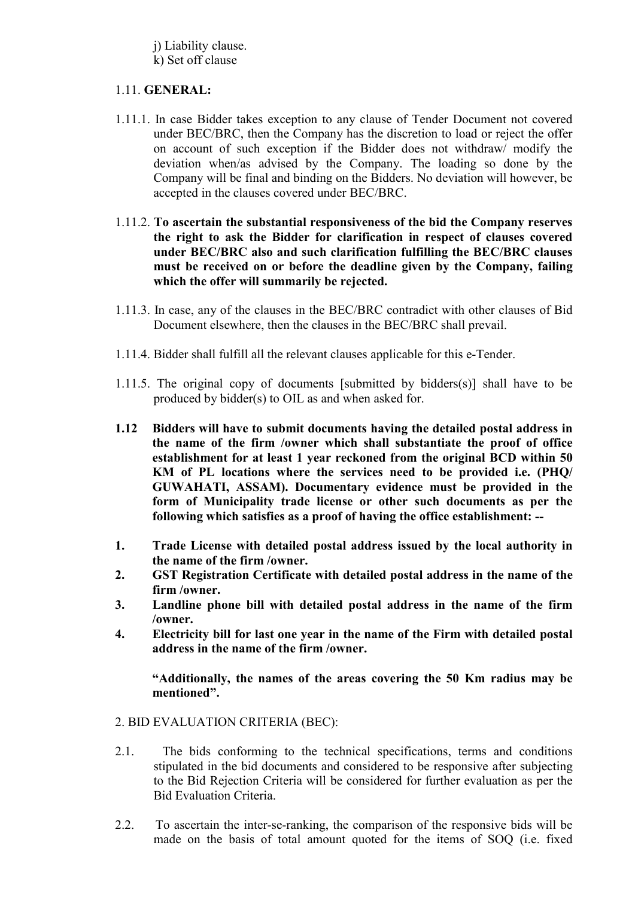j) Liability clause. k) Set off clause

## 1.11. **GENERAL:**

- 1.11.1. In case Bidder takes exception to any clause of Tender Document not covered under BEC/BRC, then the Company has the discretion to load or reject the offer on account of such exception if the Bidder does not withdraw/ modify the deviation when/as advised by the Company. The loading so done by the Company will be final and binding on the Bidders. No deviation will however, be accepted in the clauses covered under BEC/BRC.
- 1.11.2. **To ascertain the substantial responsiveness of the bid the Company reserves the right to ask the Bidder for clarification in respect of clauses covered under BEC/BRC also and such clarification fulfilling the BEC/BRC clauses must be received on or before the deadline given by the Company, failing which the offer will summarily be rejected.**
- 1.11.3. In case, any of the clauses in the BEC/BRC contradict with other clauses of Bid Document elsewhere, then the clauses in the BEC/BRC shall prevail.
- 1.11.4. Bidder shall fulfill all the relevant clauses applicable for this e-Tender.
- 1.11.5. The original copy of documents [submitted by bidders(s)] shall have to be produced by bidder(s) to OIL as and when asked for.
- **1.12 Bidders will have to submit documents having the detailed postal address in the name of the firm /owner which shall substantiate the proof of office establishment for at least 1 year reckoned from the original BCD within 50 KM of PL locations where the services need to be provided i.e. (PHQ/ GUWAHATI, ASSAM). Documentary evidence must be provided in the form of Municipality trade license or other such documents as per the following which satisfies as a proof of having the office establishment: --**
- **1. Trade License with detailed postal address issued by the local authority in the name of the firm /owner.**
- **2. GST Registration Certificate with detailed postal address in the name of the firm /owner.**
- **3. Landline phone bill with detailed postal address in the name of the firm /owner.**
- **4. Electricity bill for last one year in the name of the Firm with detailed postal address in the name of the firm /owner.**

**"Additionally, the names of the areas covering the 50 Km radius may be mentioned".**

- 2. BID EVALUATION CRITERIA (BEC):
- 2.1. The bids conforming to the technical specifications, terms and conditions stipulated in the bid documents and considered to be responsive after subjecting to the Bid Rejection Criteria will be considered for further evaluation as per the Bid Evaluation Criteria.
- 2.2. To ascertain the inter-se-ranking, the comparison of the responsive bids will be made on the basis of total amount quoted for the items of SOQ (i.e. fixed